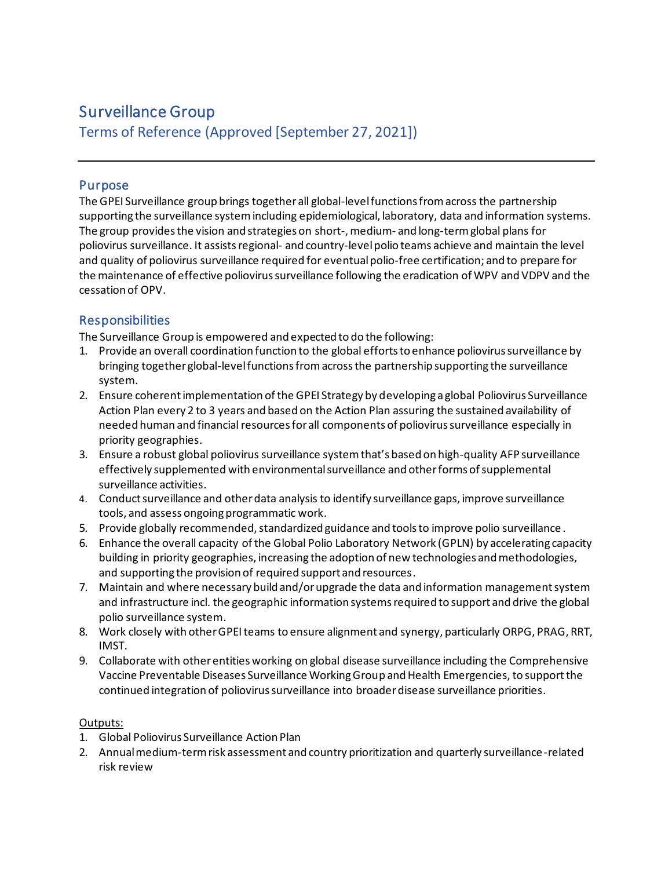# Surveillance Group

Terms of Reference (Approved [September 27, 2021])

# Purpose

The GPEI Surveillance group brings together all global-level functions from across the partnership supporting the surveillance system including epidemiological, laboratory, data and information systems. The group provides the vision and strategies on short-, medium- and long-term global plans for poliovirus surveillance. It assists regional- and country-level polio teams achieve and maintain the level and quality of poliovirus surveillance required for eventualpolio-free certification; and to prepare for the maintenance of effective poliovirus surveillance following the eradication of WPV and VDPV and the cessation of OPV.

# **Responsibilities**

The Surveillance Group is empowered and expected to do the following:

- 1. Provide an overall coordination function to the global efforts to enhance poliovirus surveillance by bringing together global-level functions from across the partnership supporting the surveillance system.
- 2. Ensure coherent implementation of the GPEI Strategy by developing a global Poliovirus Surveillance Action Plan every 2 to 3 years and based on the Action Plan assuring the sustained availability of needed human and financial resources for all components of poliovirus surveillance especially in priority geographies.
- 3. Ensure a robust global poliovirus surveillance systemthat's based on high-quality AFP surveillance effectively supplemented with environmental surveillance and other forms of supplemental surveillance activities.
- 4. Conduct surveillance and other data analysis to identify surveillance gaps, improve surveillance tools, and assess ongoing programmatic work.
- 5. Provide globally recommended, standardized guidance and tools to improve polio surveillance .
- 6. Enhance the overall capacity of the Global Polio Laboratory Network (GPLN) by accelerating capacity building in priority geographies, increasing the adoption of new technologies and methodologies, and supporting the provision of required support and resources.
- 7. Maintain and where necessary build and/or upgrade the data and information management system and infrastructure incl. the geographic information systems required to support and drive the global polio surveillance system.
- 8. Work closely with other GPEI teams to ensure alignment and synergy, particularly ORPG, PRAG, RRT, IMST.
- 9. Collaborate with other entities working on global disease surveillance including the Comprehensive Vaccine Preventable Diseases Surveillance Working Group and Health Emergencies, to support the continued integration of poliovirus surveillance into broader disease surveillance priorities.

# Outputs:

- 1. Global Poliovirus Surveillance Action Plan
- 2. Annual medium-term risk assessment and country prioritization and quarterly surveillance-related risk review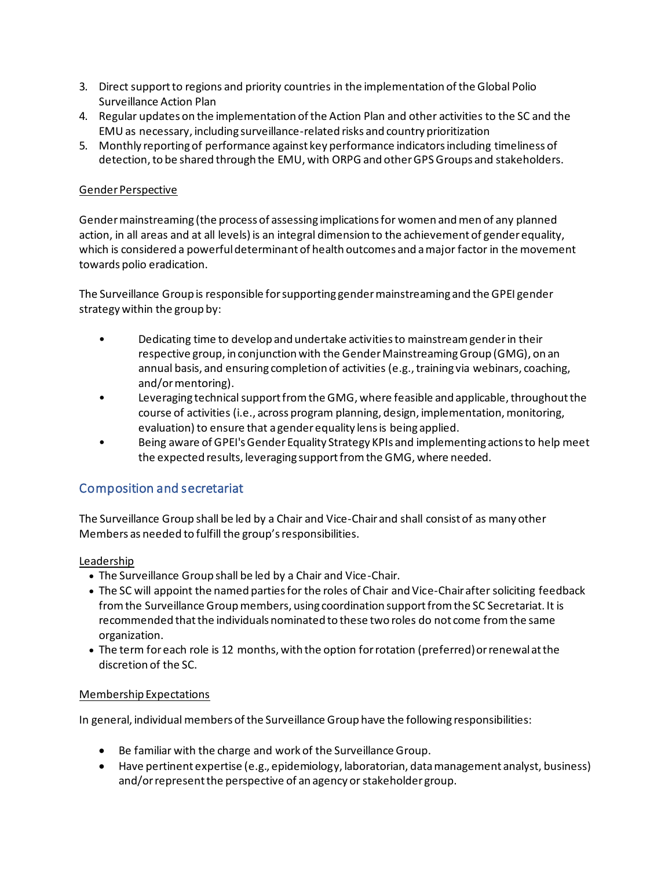- 3. Direct support to regions and priority countries in the implementation of the Global Polio Surveillance Action Plan
- 4. Regular updates on the implementation of the Action Plan and other activities to the SC and the EMU as necessary, including surveillance-related risks and country prioritization
- 5. Monthly reporting of performance against key performance indicators including timeliness of detection, to be shared through the EMU, with ORPG and other GPS Groups and stakeholders.

## Gender Perspective

Gender mainstreaming (the process of assessing implications for women and men of any planned action, in all areas and at all levels) is an integral dimension to the achievement of gender equality, which is considered a powerful determinant of health outcomes and a major factor in the movement towards polio eradication.

The Surveillance Group is responsible for supporting gender mainstreaming and the GPEI gender strategy within the group by:

- Dedicating time to develop and undertake activities to mainstream gender in their respective group, in conjunction with the Gender Mainstreaming Group (GMG), on an annual basis, and ensuring completion of activities (e.g., training via webinars, coaching, and/or mentoring).
- Leveraging technical support from the GMG, where feasible and applicable, throughout the course of activities (i.e., across program planning, design, implementation, monitoring, evaluation) to ensure that a gender equality lens is being applied.
- Being aware of GPEI's Gender Equality Strategy KPIs and implementing actions to help meet the expected results, leveraging support from the GMG, where needed.

# Composition and secretariat

The Surveillance Group shall be led by a Chair and Vice-Chair and shall consist of as many other Members as needed to fulfill the group's responsibilities.

## Leadership

- The Surveillance Group shall be led by a Chair and Vice-Chair.
- The SC will appoint the named parties for the roles of Chair and Vice-Chair after soliciting feedback from the Surveillance Group members, using coordination support from the SC Secretariat. It is recommended that the individuals nominated to these two roles do not come from the same organization.
- The term for each role is 12 months, with the option for rotation (preferred) or renewal at the discretion of the SC.

#### Membership Expectations

In general, individual members of the Surveillance Group have the following responsibilities:

- Be familiar with the charge and work of the Surveillance Group.
- Have pertinent expertise (e.g., epidemiology, laboratorian, data management analyst, business) and/or represent the perspective of an agency or stakeholder group.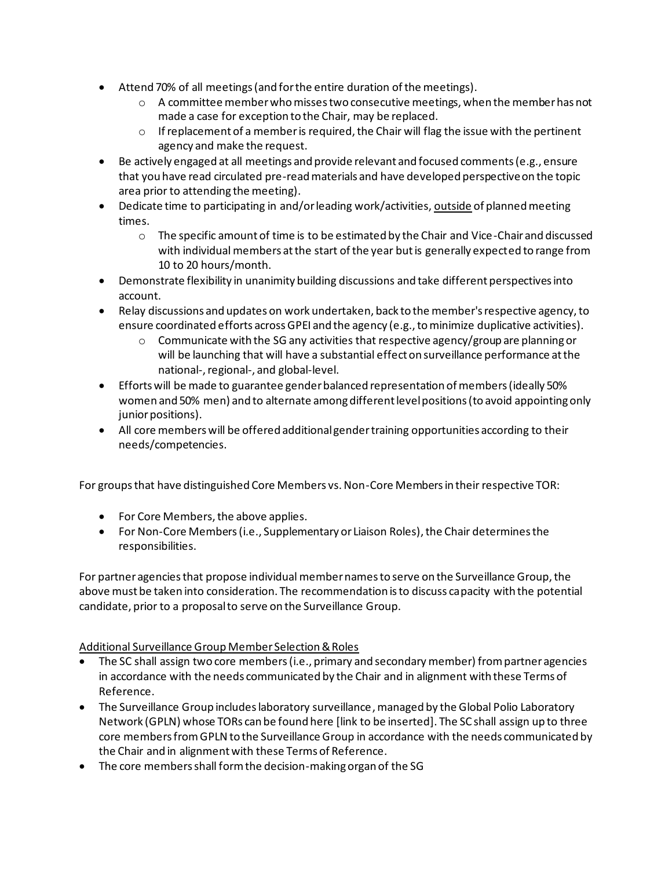- Attend 70% of all meetings (and for the entire duration of the meetings).
	- o A committee member who misses two consecutive meetings, when the member has not made a case for exception to the Chair, may be replaced.
	- $\circ$  If replacement of a member is required, the Chair will flag the issue with the pertinent agency and make the request.
- Be actively engaged at all meetings and provide relevant and focused comments (e.g., ensure that you have read circulated pre-read materials and have developed perspective on the topic area prior to attending the meeting).
- Dedicate time to participating in and/or leading work/activities, outside of planned meeting times.
	- $\circ$  The specific amount of time is to be estimated by the Chair and Vice-Chair and discussed with individual members at the start of the year but is generally expected to range from 10 to 20 hours/month.
- Demonstrate flexibility in unanimity building discussions and take different perspectives into account.
- Relay discussions and updates on work undertaken, back to the member's respective agency, to ensure coordinated efforts across GPEI and the agency (e.g., to minimize duplicative activities).
	- $\circ$  Communicate with the SG any activities that respective agency/group are planning or will be launching that will have a substantial effect on surveillance performance at the national-, regional-, and global-level.
- Efforts will be made to guarantee gender balanced representation of members (ideally 50% women and 50% men) and to alternate among different level positions (to avoid appointing only junior positions).
- All core members will be offered additional gender training opportunities according to their needs/competencies.

For groups that have distinguished Core Members vs. Non-Core Members in their respective TOR:

- For Core Members, the above applies.
- For Non-Core Members (i.e., Supplementary or Liaison Roles), the Chair determines the responsibilities.

For partner agencies that propose individual member names to serve on the Surveillance Group, the above must be taken into consideration. The recommendation is to discuss capacity with the potential candidate, prior to a proposal to serve on the Surveillance Group.

## Additional Surveillance Group Member Selection & Roles

- The SC shall assign two core members (i.e., primary and secondary member) from partner agencies in accordance with the needs communicated by the Chair and in alignment with these Terms of Reference.
- The Surveillance Group includes laboratory surveillance, managed by the Global Polio Laboratory Network (GPLN) whose TORs can be found here [link to be inserted]. The SC shall assign up to three core members from GPLN to the Surveillance Group in accordance with the needs communicated by the Chair and in alignment with these Terms of Reference.
- The core members shall form the decision-making organ of the SG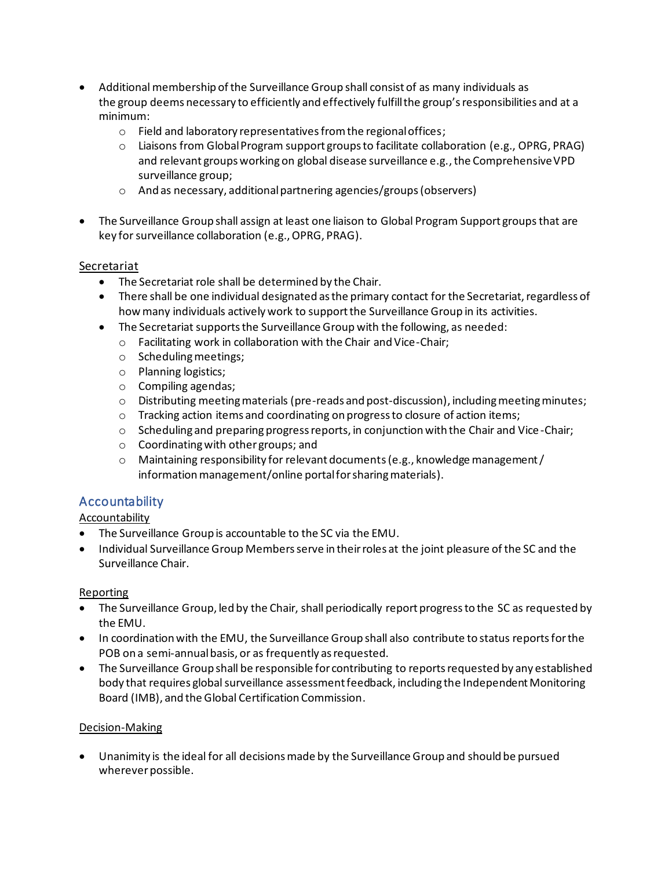- Additional membership of the Surveillance Group shall consist of as many individuals as the group deems necessary to efficiently and effectively fulfill the group's responsibilities and at a minimum:
	- o Field and laboratory representatives from the regional offices;
	- $\circ$  Liaisons from Global Program support groups to facilitate collaboration (e.g., OPRG, PRAG) and relevant groups working on global disease surveillance e.g., the Comprehensive VPD surveillance group;
	- o And as necessary, additional partnering agencies/groups(observers)
- The Surveillance Group shall assign at least one liaison to Global Program Support groups that are key for surveillance collaboration (e.g., OPRG, PRAG).

## Secretariat

- The Secretariat role shall be determined by the Chair.
- There shall be one individual designated as the primary contact for the Secretariat, regardless of how many individuals actively work to support the Surveillance Group in its activities.
- The Secretariat supports the Surveillance Group with the following, as needed:
	- o Facilitating work in collaboration with the Chair and Vice-Chair;
	- o Scheduling meetings;
	- o Planning logistics;
	- o Compiling agendas;
	- $\circ$  Distributing meeting materials (pre-reads and post-discussion), including meeting minutes;
	- o Tracking action items and coordinating on progress to closure of action items;
	- $\circ$  Scheduling and preparing progress reports, in conjunction with the Chair and Vice-Chair;
	- o Coordinating with other groups; and
	- $\circ$  Maintaining responsibility for relevant documents (e.g., knowledge management / information management/online portal for sharing materials).

# Accountability

# **Accountability**

- The Surveillance Group is accountable to the SC via the EMU.
- Individual Surveillance Group Members serve in their roles at the joint pleasure of the SC and the Surveillance Chair.

## Reporting

- The Surveillance Group, led by the Chair, shall periodically report progress to the SC as requested by the EMU.
- In coordination with the EMU, the Surveillance Group shall also contribute to status reportsfor the POB on a semi-annualbasis, or as frequently as requested.
- The Surveillance Group shall be responsible for contributing to reports requested by any established body that requires global surveillance assessment feedback, including the Independent Monitoring Board (IMB), and the Global Certification Commission.

## Decision-Making

• Unanimity is the ideal for all decisions made by the Surveillance Group and should be pursued wherever possible.